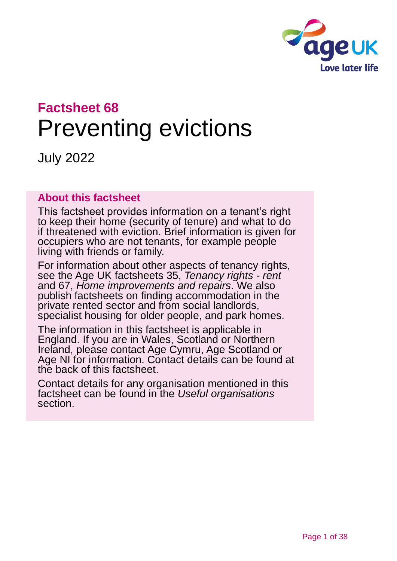

# **Factsheet 68** Preventing evictions

July 2022

#### **About this factsheet**

This factsheet provides information on a tenant's right to keep their home (security of tenure) and what to do if threatened with eviction. Brief information is given for occupiers who are not tenants, for example people living with friends or family.

For information about other aspects of tenancy rights, see the [Age UK factsheets](http://www.ageuk.org.uk/publications/age-uk-information-guides-and-factsheets/) 35, *[Tenancy rights -](https://www.ageuk.org.uk/globalassets/age-uk/documents/factsheets/fs35_tenancy_rights_rent_fcs.pdf) rent* and 67, *[Home improvements and repairs](https://www.ageuk.org.uk/globalassets/age-uk/documents/factsheets/fs67_home_improvements_and_repairs_fcs.pdf)*. We also publish factsheets on finding accommodation in the private rented sector and from social landlords, specialist housing for older people, and park homes.

The information in this factsheet is applicable in England. If you are in Wales, Scotland or Northern Ireland, please contact Age Cymru, [Age Scotland or](#page-36-0)  [Age NI](#page-36-0) for information. Contact details can be found at the [back of this factsheet.](#page-36-1)

Contact details for any organisation mentioned in this factsheet can be found in the *[Useful organisations](#page-33-0)* section.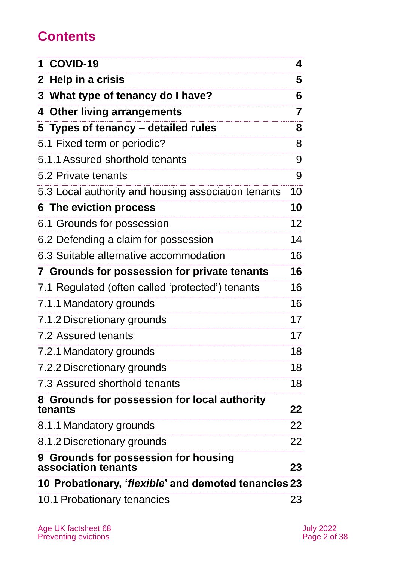## **Contents**

| 1 COVID-19                                                         | 4               |
|--------------------------------------------------------------------|-----------------|
| 2 Help in a crisis                                                 | 5               |
| 3 What type of tenancy do I have?                                  | 6               |
| 4 Other living arrangements                                        | 7               |
| 5 Types of tenancy – detailed rules                                | 8               |
| 5.1 Fixed term or periodic?                                        | 8               |
| 5.1.1 Assured shorthold tenants                                    | 9               |
| 5.2 Private tenants                                                | 9               |
| 5.3 Local authority and housing association tenants                | 10              |
| <b>6 The eviction process</b>                                      | 10              |
| 6.1 Grounds for possession                                         | 12 <sub>2</sub> |
| 6.2 Defending a claim for possession                               | 14              |
| 6.3 Suitable alternative accommodation                             | 16              |
| 7 Grounds for possession for private tenants                       | 16              |
| 7.1 Regulated (often called 'protected') tenants                   | 16              |
| 7.1.1 Mandatory grounds                                            | 16              |
| 7.1.2 Discretionary grounds                                        | 17              |
| 7.2 Assured tenants                                                | 17              |
| 7.2.1 Mandatory grounds                                            | 18              |
| 7.2.2 Discretionary grounds                                        | 18              |
| 7.3 Assured shorthold tenants                                      | 18              |
| 8 Grounds for possession for local authority<br>tenants            | 22              |
| 8.1.1 Mandatory grounds                                            | 22              |
| 8.1.2 Discretionary grounds                                        | 22              |
| <b>9 Grounds for possession for housing</b><br>association tenants | 23              |
| 10 Probationary, 'flexible' and demoted tenancies 23               |                 |
| 10.1 Probationary tenancies                                        | 23              |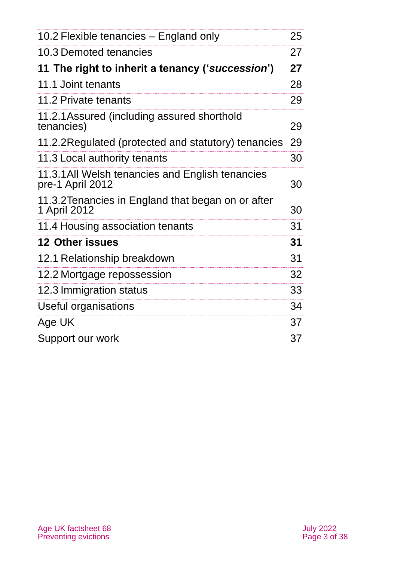|                                                                      | 25 |  |
|----------------------------------------------------------------------|----|--|
| 10.2 Flexible tenancies – England only                               | 27 |  |
| 10.3 Demoted tenancies                                               |    |  |
| 11 The right to inherit a tenancy ('succession')                     | 27 |  |
| 11.1 Joint tenants                                                   | 28 |  |
| 11.2 Private tenants                                                 | 29 |  |
| 11.2.1 Assured (including assured shorthold<br>tenancies)            | 29 |  |
| 11.2.2 Regulated (protected and statutory) tenancies                 | 29 |  |
| 11.3 Local authority tenants                                         | 30 |  |
| 11.3.1 All Welsh tenancies and English tenancies<br>pre-1 April 2012 | 30 |  |
| 11.3.2 Tenancies in England that began on or after<br>1 April 2012   | 30 |  |
| 11.4 Housing association tenants                                     | 31 |  |
| <b>12 Other issues</b>                                               | 31 |  |
| 12.1 Relationship breakdown                                          | 31 |  |
| 12.2 Mortgage repossession                                           | 32 |  |
| 12.3 Immigration status                                              | 33 |  |
| Useful organisations                                                 | 34 |  |
| Age UK                                                               | 37 |  |
| Support our work                                                     | 37 |  |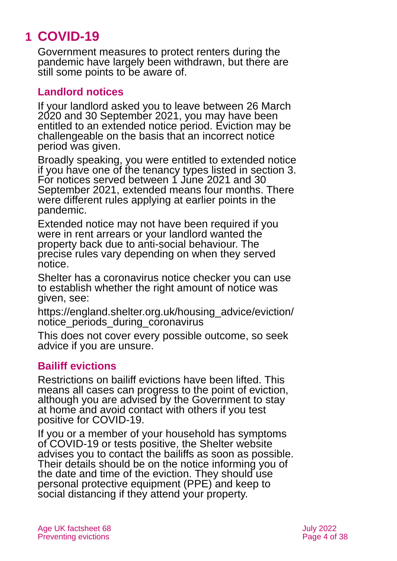## <span id="page-3-0"></span>**1 COVID-19**

Government measures to protect renters during the pandemic have largely been withdrawn, but there are still some points to be aware of.

### **Landlord notices**

If your landlord asked you to leave between 26 March 2020 and 30 September 2021, you may have been entitled to an extended notice period. Eviction may be challengeable on the basis that an incorrect notice period was given.

Broadly speaking, you were entitled to extended notice if you have one of the tenancy types listed in [section 3.](#page-5-0) For notices served between 1 June 2021 and 30 September 2021, extended means four months. There were different rules applying at earlier points in the pandemic.

Extended notice may not have been required if you were in rent arrears or your landlord wanted the property back due to anti-social behaviour. The precise rules vary depending on when they served notice.

Shelter has a coronavirus notice checker you can use to establish whether the right amount of notice was given, see:

[https://england.shelter.org.uk/housing\\_advice/eviction/](https://england.shelter.org.uk/housing_advice/eviction/notice_periods_during_coronavirus) [notice\\_periods\\_during\\_coronavirus](https://england.shelter.org.uk/housing_advice/eviction/notice_periods_during_coronavirus)

This does not cover every possible outcome, so seek advice if you are unsure.

## **Bailiff evictions**

Restrictions on bailiff evictions have been lifted. This means all cases can progress to the point of eviction, although you are advised by the Government to stay at home and avoid contact with others if you test positive for COVID-19.

If you or a member of your household has symptoms of COVID-19 or tests positive, the Shelter website advises you to contact the bailiffs as soon as possible. Their details should be on the notice informing you of the date and time of the eviction. They should use personal protective equipment (PPE) and keep to social distancing if they attend your property.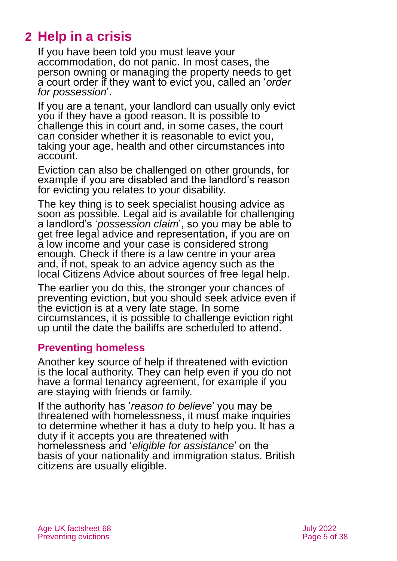## <span id="page-4-0"></span>**2 Help in a crisis**

If you have been told you must leave your accommodation, do not panic. In most cases, the person owning or managing the property needs to get a court order if they want to evict you, called an '*order for possession*'.

If you are a tenant, your landlord can usually only evict you if they have a good reason. It is possible to challenge this in court and, in some cases, the court can consider whether it is reasonable to evict you, taking your age, health and other circumstances into account.

Eviction can also be challenged on other grounds, for example if you are disabled and the landlord's reason for evicting you relates to your disability.

The key thing is to seek specialist housing advice as soon as possible. Legal aid is available for challenging a landlord's '*possession claim*', so you may be able to get free legal advice and representation, if you are on a low income and your case is considered strong enough. Check if there is a law centre in your area and, if not, speak to an advice agency such as the local Citizens Advice about sources of free legal help.

The earlier you do this, the stronger your chances of preventing eviction, but you should seek advice even if the eviction is at a very late stage. In some circumstances, it is possible to challenge eviction right up until the date the bailiffs are scheduled to attend.

### **Preventing homeless**

Another key source of help if threatened with eviction is the local authority. They can help even if you do not have a formal tenancy agreement, for example if you are staying with friends or family.

If the authority has '*reason to believe*' you may be threatened with homelessness, it must make inquiries to determine whether it has a duty to help you. It has a duty if it accepts you are threatened with homelessness and '*eligible for assistance*' on the basis of your nationality and immigration status. British citizens are usually eligible.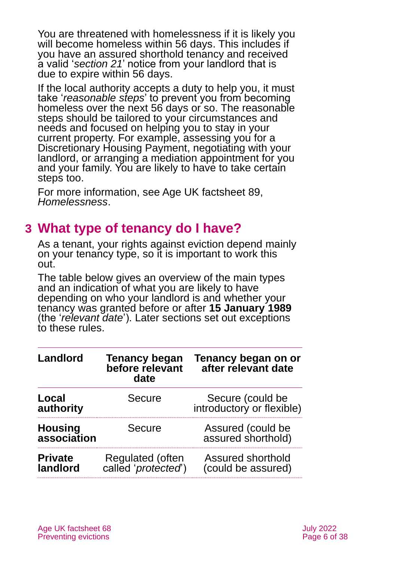You are threatened with homelessness if it is likely you will become homeless within 56 days. This includes if you have an assured shorthold tenancy and received a valid '*section 21*' notice from your landlord that is due to expire within 56 days.

If the local authority accepts a duty to help you, it must take '*reasonable steps*' to prevent you from becoming homeless over the next 56 days or so. The reasonable steps should be tailored to your circumstances and needs and focused on helping you to stay in your current property. For example, assessing you for a Discretionary Housing Payment, negotiating with your landlord, or arranging a mediation appointment for you and your family. You are likely to have to take certain steps too.

For more information, see Age UK factsheet 89, *[Homelessness](https://www.ageuk.org.uk/globalassets/age-uk/documents/factsheets/fs89_homelessness_fcs.pdf)*.

## <span id="page-5-0"></span>**3 What type of tenancy do I have?**

As a tenant, your rights against eviction depend mainly on your tenancy type, so it is important to work this out.

The table below gives an overview of the main types and an indication of what you are likely to have depending on who your landlord is and whether your tenancy was granted before or after **15 January 1989** (the '*relevant date*'). Later sections set out exceptions to these rules.

| Landlord                      | <b>Tenancy began</b><br>before relevant<br>date | Tenancy began on or<br>after relevant date     |
|-------------------------------|-------------------------------------------------|------------------------------------------------|
| Local<br>authority            | <b>Secure</b>                                   | Secure (could be<br>introductory or flexible)  |
| <b>Housing</b><br>association | <b>Secure</b>                                   | Assured (could be<br>assured shorthold)        |
| <b>Private</b><br>landlord    | Regulated (often<br>called 'protected')         | <b>Assured shorthold</b><br>(could be assured) |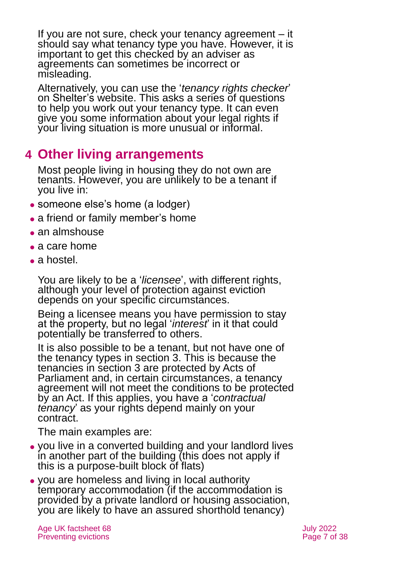If you are not sure, check your tenancy agreement – it should say what tenancy type you have. However, it is important to get this checked by an adviser as agreements can sometimes be incorrect or misleading.

Alternatively, you can use the '*[tenancy rights checker](https://england.shelter.org.uk/legal/security_of_tenure/tenancy_checker)*' on [Shelter's](https://www.shelter.org.uk/) website. This asks a series of questions to help you work out your tenancy type. It can even give you some information about your legal rights if your living situation is more unusual or informal.

## <span id="page-6-0"></span>**4 Other living arrangements**

Most people living in housing they do not own are tenants. However, you are unlikely to be a tenant if you live in:

- someone else's home (a lodger)
- a friend or family member's home
- an almshouse
- ⚫ a care home
- a hostel.

You are likely to be a '*licensee*', with different rights, although your level of protection against eviction depends on your specific circumstances.

Being a licensee means you have permission to stay at the property, but no legal '*interest*' in it that could potentially be transferred to others.

It is also possible to be a tenant, but not have one of the tenancy types in [section 3.](#page-5-0) This is because the tenancies in [section 3](#page-5-0) are protected by Acts of Parliament and, in certain circumstances, a tenancy agreement will not meet the conditions to be protected by an Act. If this applies, you have a '*contractual tenancy*' as your rights depend mainly on your contract.

The main examples are:

- ⚫ you live in a converted building and your landlord lives in another part of the building (this does not apply if this is a purpose-built block of flats)
- ⚫ you are homeless and living in local authority temporary accommodation (if the accommodation is provided by a private landlord or housing association, you are likely to have an assured shorthold tenancy)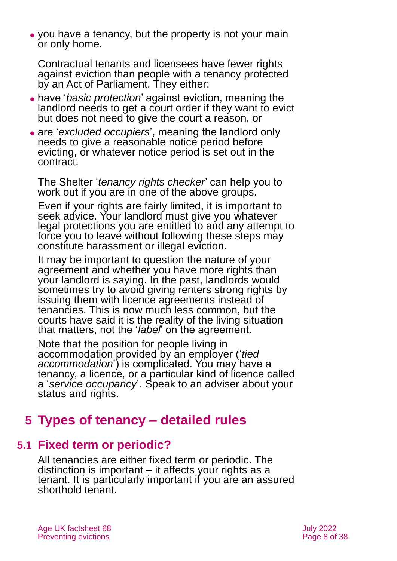⚫ you have a tenancy, but the property is not your main or only home.

Contractual tenants and licensees have fewer rights against eviction than people with a tenancy protected by an Act of Parliament. They either:

- ⚫ have '*basic protection*' against eviction, meaning the landlord needs to get a court order if they want to evict but does not need to give the court a reason, or
- ⚫ are '*excluded occupiers*', meaning the landlord only needs to give a reasonable notice period before evicting, or whatever notice period is set out in the contract.

The [Shelter](https://www.shelter.org.uk/) '*tenancy rights checker*' can help you to work out if you are in one of the above groups.

Even if your rights are fairly limited, it is important to seek advice. Your landlord must give you whatever legal protections you are entitled to and any attempt to force you to leave without following these steps may constitute harassment or illegal eviction.

It may be important to question the nature of your agreement and whether you have more rights than your landlord is saying. In the past, landlords would sometimes try to avoid giving renters strong rights by issuing them with licence agreements instead of tenancies. This is now much less common, but the courts have said it is the reality of the living situation that matters, not the '*label*' on the agreement.

Note that the position for people living in accommodation provided by an employer ('*tied accommodation*') is complicated. You may have a tenancy, a licence, or a particular kind of licence called a '*service occupancy*'. Speak to an adviser about your status and rights.

## <span id="page-7-0"></span>**5 Types of tenancy – detailed rules**

## **5.1 Fixed term or periodic?**

All tenancies are either fixed term or periodic. The distinction is important – it affects your rights as a tenant. It is particularly important if you are an assured shorthold tenant.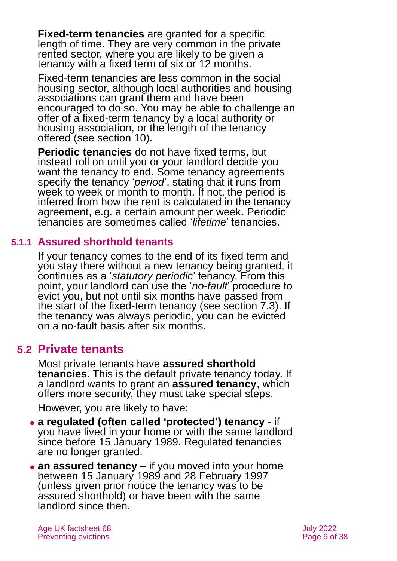**Fixed-term tenancies** are granted for a specific length of time. They are very common in the private rented sector, where you are likely to be given a tenancy with a fixed term of six or 12 months.

Fixed-term tenancies are less common in the social housing sector, although local authorities and housing associations can grant them and have been encouraged to do so. You may be able to challenge an offer of a fixed-term tenancy by a local authority or housing association, or the length of the tenancy offered [\(see section 10\)](#page-22-1).

**Periodic tenancies** do not have fixed terms, but instead roll on until you or your landlord decide you want the tenancy to end. Some tenancy agreements specify the tenancy '*period*', stating that it runs from week to week or month to month. If not, the period is inferred from how the rent is calculated in the tenancy agreement, e.g. a certain amount per week. Periodic tenancies are sometimes called '*lifetime*' tenancies.

### **5.1.1 Assured shorthold tenants**

If your tenancy comes to the end of its fixed term and you stay there without a new tenancy being granted, it continues as a '*statutory periodic*' tenancy. From this point, your landlord can use the '*no-fault*' procedure to evict you, but not until six months have passed from the start of the fixed-term tenancy (see [section 7.3\)](#page-17-0). If the tenancy was always periodic, you can be evicted on a no-fault basis after six months.

## <span id="page-8-0"></span>**5.2 Private tenants**

Most private tenants have **assured shorthold tenancies**. This is the default private tenancy today. If a landlord wants to grant an **assured tenancy**, which offers more security, they must take special steps.

However, you are likely to have:

- ⚫ **a regulated (often called 'protected') tenancy** if you have lived in your home or with the same landlord since before 15 January 1989. Regulated tenancies are no longer granted.
- **an assured tenancy** if you moved into your home between 15 January 1989 and 28 February 1997 (unless given prior notice the tenancy was to be assured shorthold) or have been with the same landlord since then.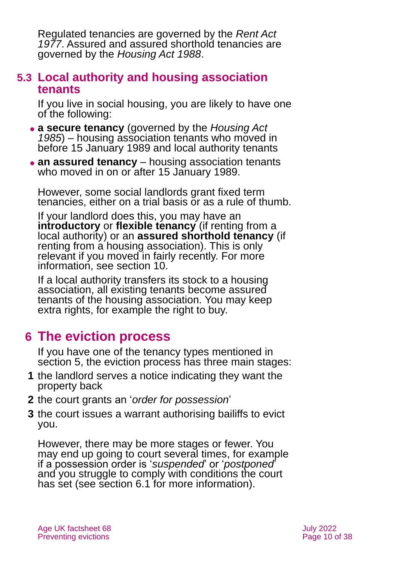Regulated tenancies are governed by the *Rent Act 1977*. Assured and assured shorthold tenancies are governed by the *Housing Act 1988*.

## **5.3 Local authority and housing association tenants**

If you live in social housing, you are likely to have one of the following:

- ⚫ **a secure tenancy** (governed by the *[Housing Act](http://www.legislation.gov.uk/ukpga/1985/68/contents)  [1985](http://www.legislation.gov.uk/ukpga/1985/68/contents)*) – housing association tenants who moved in before 15 January 1989 and local authority tenants
- **an assured tenancy** housing association tenants who moved in on or after 15 January 1989.

However, some social landlords grant fixed term tenancies, either on a trial basis or as a rule of thumb.

If your landlord does this, you may have an **introductory** or **flexible tenancy** (if renting from a local authority) or an **assured shorthold tenancy** (if renting from a housing association). This is only relevant if you moved in fairly recently. For more information, see [section 10.](#page-22-1)

If a local authority transfers its stock to a housing association, all existing tenants become assured tenants of the housing association. You may keep extra rights, for example the right to buy.

## <span id="page-9-0"></span>**6 The eviction process**

If you have one of the tenancy types mentioned in [section 5,](#page-7-0) the eviction process has three main stages:

- **1** the landlord serves a notice indicating they want the property back
- **2** the court grants an '*order for possession*'
- **3** the court issues a warrant authorising bailiffs to evict you.

However, there may be more stages or fewer. You may end up going to court several times, for example if a possession order is '*suspended*' or '*postponed*' and you struggle to comply with conditions the court has set (see [section 6.1](#page-11-0) for more information).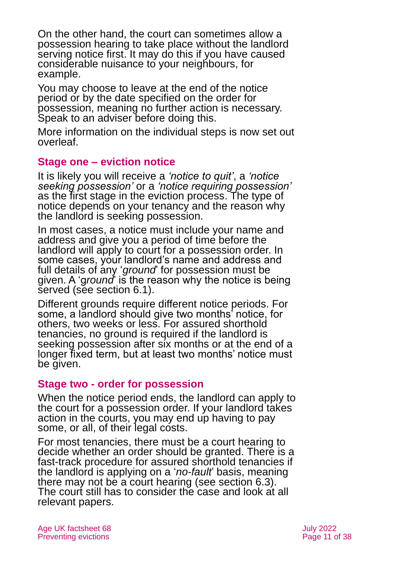On the other hand, the court can sometimes allow a possession hearing to take place without the landlord serving notice first. It may do this if you have caused considerable nuisance to your neighbours, for example.

You may choose to leave at the end of the notice period or by the date specified on the order for possession, meaning no further action is necessary. Speak to an adviser before doing this.

More information on the individual steps is now set out overleaf.

#### **Stage one – eviction notice**

It is likely you will receive a *'notice to quit'*, a *'notice seeking possession'* or a *'notice requiring possession'* as the first stage in the eviction process. The type of notice depends on your tenancy and the reason why the landlord is seeking possession.

In most cases, a notice must include your name and address and give you a period of time before the landlord will apply to court for a possession order. In some cases, your landlord's name and address and full details of any '*ground*' for possession must be given. A 'g*round*' is the reason why the notice is being served (see [section 6.1\)](#page-11-0).

Different grounds require different notice periods. For some, a landlord should give two months' notice, for others, two weeks or less. For assured shorthold tenancies, no ground is required if the landlord is seeking possession after six months or at the end of a longer fixed term, but at least two months' notice must be given.

#### **Stage two - order for possession**

When the notice period ends, the landlord can apply to the court for a possession order. If your landlord takes action in the courts, you may end up having to pay some, or all, of their legal costs.

For most tenancies, there must be a court hearing to decide whether an order should be granted. There is a fast-track procedure for assured shorthold tenancies if the landlord is applying on a '*no-fault*' basis, meaning there may not be a court hearing (see [section 6.3\)](#page-15-1). The court still has to consider the case and look at all relevant papers.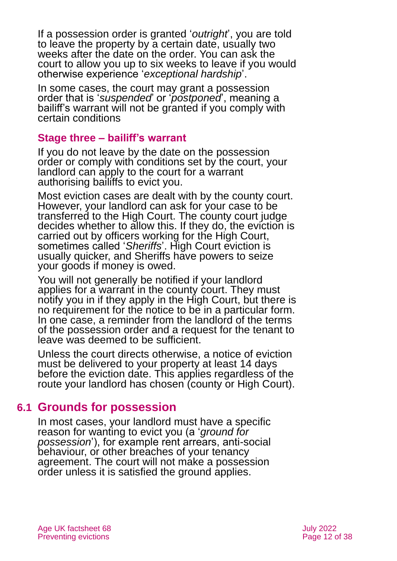If a possession order is granted '*outright*', you are told to leave the property by a certain date, usually two weeks after the date on the order. You can ask the court to allow you up to six weeks to leave if you would otherwise experience '*exceptional hardship*'.

In some cases, the court may grant a possession order that is '*suspended*' or '*postponed*', meaning a bailiff's warrant will not be granted if you comply with certain conditions

#### **Stage three – bailiff's warrant**

If you do not leave by the date on the possession order or comply with conditions set by the court, your landlord can apply to the court for a warrant authorising bailiffs to evict you.

Most eviction cases are dealt with by the county court. However, your landlord can ask for your case to be transferred to the High Court. The county court judge decides whether to allow this. If they do, the eviction is carried out by officers working for the High Court, sometimes called '*Sheriffs*'. High Court eviction is usually quicker, and Sheriffs have powers to seize your goods if money is owed.

You will not generally be notified if your landlord applies for a warrant in the county court. They must notify you in if they apply in the High Court, but there is no requirement for the notice to be in a particular form. In one case, a reminder from the landlord of the terms of the possession order and a request for the tenant to leave was deemed to be sufficient.

Unless the court directs otherwise, a notice of eviction must be delivered to your property at least 14 days before the eviction date. This applies regardless of the route your landlord has chosen (county or High Court).

## <span id="page-11-0"></span>**6.1 Grounds for possession**

In most cases, your landlord must have a specific reason for wanting to evict you (a '*ground for possession*'), for example rent arrears, anti-social behaviour, or other breaches of your tenancy agreement. The court will not make a possession order unless it is satisfied the ground applies.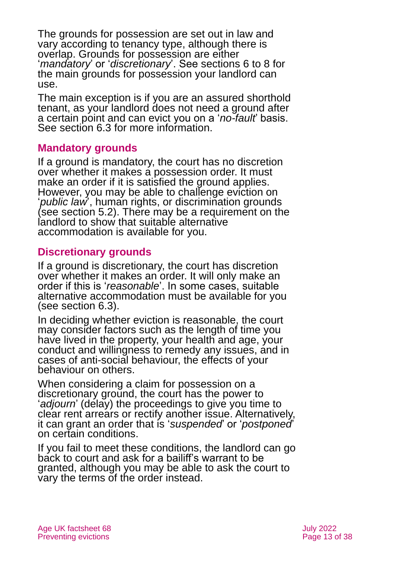The grounds for possession are set out in law and vary according to tenancy type, although there is overlap. Grounds for possession are either '*mandatory*' or '*discretionary*'. See [sections 6 to 8](#page-9-0) for the main grounds for possession your landlord can use.

The main exception is if you are an assured shorthold tenant, as your landlord does not need a ground after a certain point and can evict you on a '*no-fault*' basis. See [section 6.3](#page-15-1) for more information.

### **Mandatory grounds**

If a ground is mandatory, the court has no discretion over whether it makes a possession order. It must make an order if it is satisfied the ground applies. However, you may be able to challenge eviction on '*public law*', human rights, or discrimination grounds (see [section](#page-8-0) 5.2). There may be a requirement on the landlord to show that suitable alternative accommodation is available for you.

#### **Discretionary grounds**

If a ground is discretionary, the court has discretion over whether it makes an order. It will only make an order if this is '*reasonable*'. In some cases, suitable alternative accommodation must be available for you (see [section 6.3\)](#page-15-1).

In deciding whether eviction is reasonable, the court may consider factors such as the length of time you have lived in the property, your health and age, your conduct and willingness to remedy any issues, and in cases of anti-social behaviour, the effects of your behaviour on others.

When considering a claim for possession on a discretionary ground, the court has the power to '*adjourn*' (delay) the proceedings to give you time to clear rent arrears or rectify another issue. Alternatively, it can grant an order that is '*suspended*' or '*postponed*' on certain conditions.

If you fail to meet these conditions, the landlord can go back to court and ask for a bailiff's warrant to be granted, although you may be able to ask the court to vary the terms of the order instead.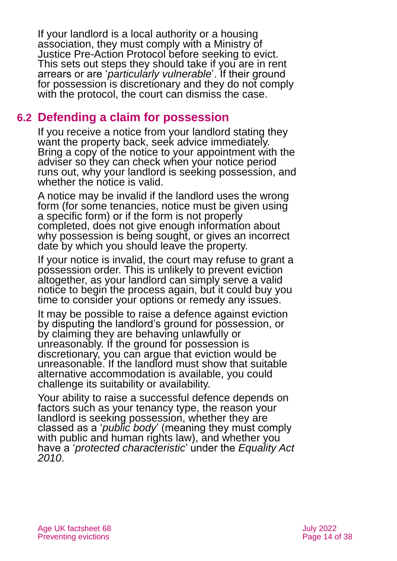If your landlord is a local authority or a housing association, they must comply with a [Ministry of](https://www.justice.gov.uk/courts/procedure-rules/civil/protocol/pre-action-protocol-for-possession-claims-by-social-landlords)  [Justice Pre-Action Protocol](https://www.justice.gov.uk/courts/procedure-rules/civil/protocol/pre-action-protocol-for-possession-claims-by-social-landlords) before seeking to evict. This sets out steps they should take if you are in rent arrears or are '*particularly vulnerable*'. If their ground for possession is discretionary and they do not comply with the protocol, the court can dismiss the case.

## <span id="page-13-0"></span>**6.2 Defending a claim for possession**

If you receive a notice from your landlord stating they want the property back, seek advice immediately. Bring a copy of the notice to your appointment with the adviser so they can check when your notice period runs out, why your landlord is seeking possession, and whether the notice is valid.

A notice may be invalid if the landlord uses the wrong form (for some tenancies, notice must be given using a specific form) or if the form is not properly completed, does not give enough information about why possession is being sought, or gives an incorrect date by which you should leave the property.

If your notice is invalid, the court may refuse to grant a possession order. This is unlikely to prevent eviction altogether, as your landlord can simply serve a valid notice to begin the process again, but it could buy you time to consider your options or remedy any issues.

It may be possible to raise a defence against eviction by disputing the landlord's ground for possession, or by claiming they are behaving unlawfully or unreasonably. If the ground for possession is discretionary, you can argue that eviction would be unreasonable. If the landlord must show that suitable alternative accommodation is available, you could challenge its suitability or availability.

Your ability to raise a successful defence depends on factors such as your tenancy type, the reason your landlord is seeking possession, whether they are classed as a '*public body*' (meaning they must comply with public and human rights law), and whether you have a '*protected characteristic*' under the *Equality Act 2010*.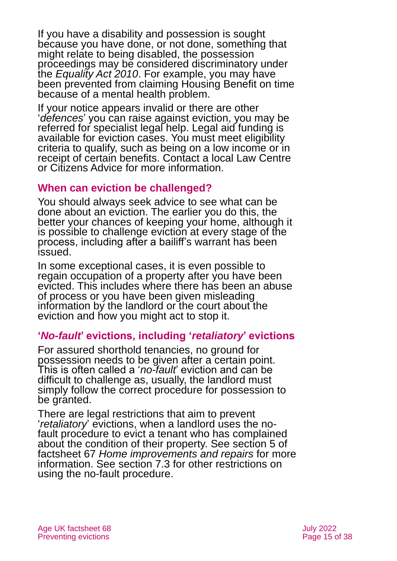If you have a disability and possession is sought because you have done, or not done, something that might relate to being disabled, the possession proceedings may be considered discriminatory under the *Equality Act 2010*. For example, you may have been prevented from claiming Housing Benefit on time because of a mental health problem.

If your notice appears invalid or there are other '*defences*' you can raise against eviction, you may be referred for specialist legal help. Legal aid funding is available for eviction cases. You must meet eligibility criteria to qualify, such as being on a low income or in receipt of certain benefits. Contact a local Law Centre or [Citizens Advice](#page-33-0) for more information.

#### **When can eviction be challenged?**

You should always seek advice to see what can be done about an eviction. The earlier you do this, the better your chances of keeping your home, although it is possible to challenge eviction at every stage of the process, including after a bailiff's warrant has been issued.

In some exceptional cases, it is even possible to regain occupation of a property after you have been evicted. This includes where there has been an abuse of process or you have been given misleading information by the landlord or the court about the eviction and how you might act to stop it.

#### **'***No-fault***' evictions, including '***retaliatory***' evictions**

For assured shorthold tenancies, no ground for possession needs to be given after a certain point. This is often called a '*no-fault*' eviction and can be difficult to challenge as, usually, the landlord must simply follow the correct procedure for possession to be granted.

There are legal restrictions that aim to prevent '*retaliatory*' evictions, when a landlord uses the nofault procedure to evict a tenant who has complained about the condition of their property. See section 5 of factsheet 67 *[Home improvements and repairs](https://www.ageuk.org.uk/globalassets/age-uk/documents/factsheets/fs67_home_improvements_and_repairs_fcs.pdf)* for more information. See [section 7.3](#page-17-0) for other restrictions on using the no-fault procedure.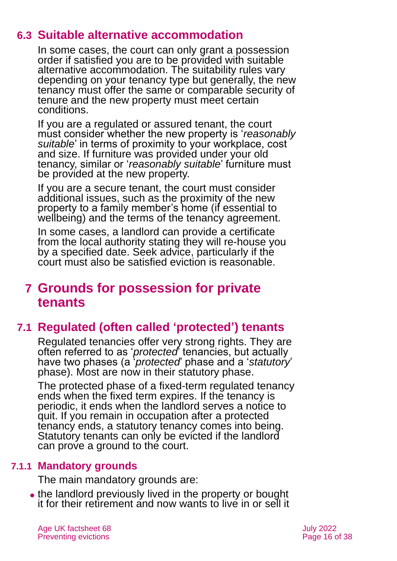## **6.3 Suitable alternative accommodation**

<span id="page-15-1"></span>In some cases, the court can only grant a possession order if satisfied you are to be provided with suitable alternative accommodation. The suitability rules vary depending on your tenancy type but generally, the new tenancy must offer the same or comparable security of tenure and the new property must meet certain conditions.

If you are a regulated or assured tenant, the court must consider whether the new property is '*reasonably suitable*' in terms of proximity to your workplace, cost and size. If furniture was provided under your old tenancy, similar or '*reasonably suitable*' furniture must be provided at the new property.

If you are a secure tenant, the court must consider additional issues, such as the proximity of the new property to a family member's home (if essential to wellbeing) and the terms of the tenancy agreement.

In some cases, a landlord can provide a certificate from the local authority stating they will re-house you by a specified date. Seek advice, particularly if the court must also be satisfied eviction is reasonable.

## <span id="page-15-0"></span>**7 Grounds for possession for private tenants**

## **7.1 Regulated (often called 'protected') tenants**

Regulated tenancies offer very strong rights. They are often referred to as '*protected*' tenancies, but actually have two phases (a '*protected*' phase and a '*statutory*' phase). Most are now in their statutory phase.

The protected phase of a fixed-term regulated tenancy ends when the fixed term expires. If the tenancy is periodic, it ends when the landlord serves a notice to quit. If you remain in occupation after a protected tenancy ends, a statutory tenancy comes into being. Statutory tenants can only be evicted if the landlord can prove a ground to the court.

### **7.1.1 Mandatory grounds**

The main mandatory grounds are:

⚫ the landlord previously lived in the property or bought it for their retirement and now wants to live in or sell it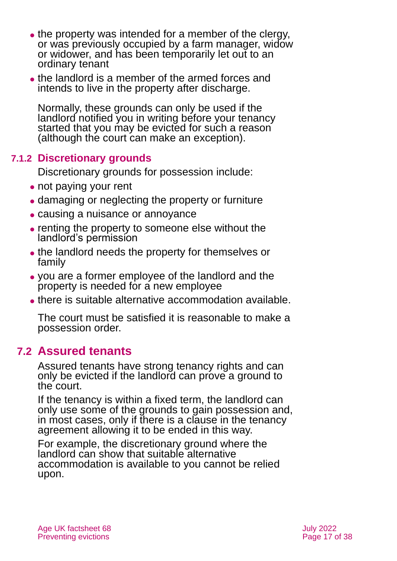- the property was intended for a member of the clergy, or was previously occupied by a farm manager, widow or widower, and has been temporarily let out to an ordinary tenant
- ⚫ the landlord is a member of the armed forces and intends to live in the property after discharge.

Normally, these grounds can only be used if the landlord notified you in writing before your tenancy started that you may be evicted for such a reason (although the court can make an exception).

## **7.1.2 Discretionary grounds**

Discretionary grounds for possession include:

- not paying your rent
- ⚫ damaging or neglecting the property or furniture
- ⚫ causing a nuisance or annoyance
- ⚫ renting the property to someone else without the landlord's permission
- ⚫ the landlord needs the property for themselves or family
- ⚫ you are a former employee of the landlord and the property is needed for a new employee
- ⚫ there is suitable alternative accommodation available.

<span id="page-16-0"></span>The court must be satisfied it is reasonable to make a possession order.

## **7.2 Assured tenants**

Assured tenants have strong tenancy rights and can only be evicted if the landlord can prove a ground to the court.

If the tenancy is within a fixed term, the landlord can only use some of the grounds to gain possession and, in most cases, only if there is a clause in the tenancy agreement allowing it to be ended in this way.

For example, the discretionary ground where the landlord can show that suitable alternative accommodation is available to you cannot be relied upon.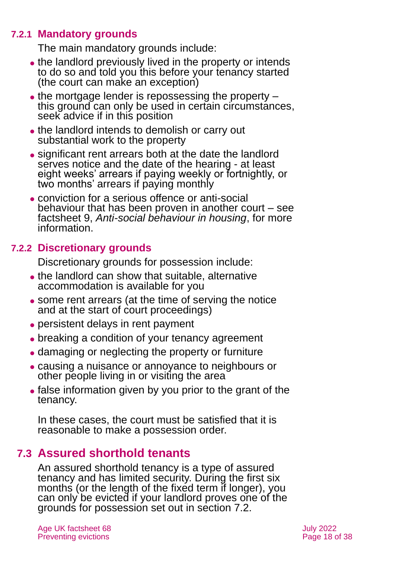### **7.2.1 Mandatory grounds**

<span id="page-17-1"></span>The main mandatory grounds include:

- ⚫ the landlord previously lived in the property or intends to do so and told you this before your tenancy started (the court can make an exception)
- $\bullet$  the mortgage lender is repossessing the property  $$ this ground can only be used in certain circumstances, seek advice if in this position
- ⚫ the landlord intends to demolish or carry out substantial work to the property
- ⚫ significant rent arrears both at the date the landlord serves notice and the date of the hearing - at least eight weeks' arrears if paying weekly or fortnightly, or two months' arrears if paying monthly
- ⚫ conviction for a serious offence or anti-social behaviour that has been proven in another court – see factsheet 9, *[Anti-social behaviour in housing](https://www.ageuk.org.uk/globalassets/age-uk/documents/factsheets/fs9_anti-social_behaviour_in_housing_fcs.pdf?dtrk=true)*, for more information.

## **7.2.2 Discretionary grounds**

Discretionary grounds for possession include:

- ⚫ the landlord can show that suitable, alternative accommodation is available for you
- ⚫ some rent arrears (at the time of serving the notice and at the start of court proceedings)
- persistent delays in rent payment
- breaking a condition of your tenancy agreement
- ⚫ damaging or neglecting the property or furniture
- ⚫ causing a nuisance or annoyance to neighbours or other people living in or visiting the area
- ⚫ false information given by you prior to the grant of the tenancy.

<span id="page-17-0"></span>In these cases, the court must be satisfied that it is reasonable to make a possession order.

## **7.3 Assured shorthold tenants**

An assured shorthold tenancy is a type of assured tenancy and has limited security. During the first six months (or the length of the fixed term if longer), you can only be evicted if your landlord proves one of the grounds for possession set out in [section 7.2.](#page-16-0)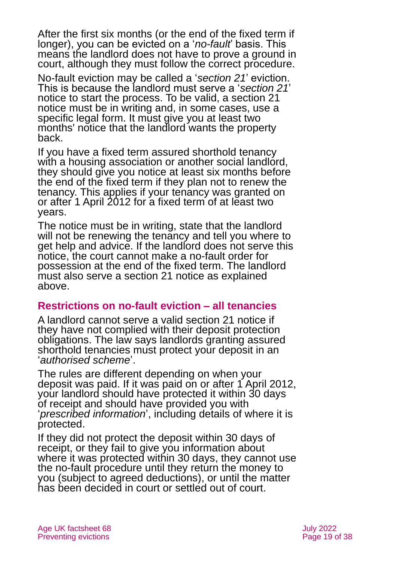After the first six months (or the end of the fixed term if longer), you can be evicted on a '*no-fault*' basis. This means the landlord does not have to prove a ground in court, although they must follow the correct procedure.

No-fault eviction may be called a '*section 21*' eviction. This is because the landlord must serve a '*section 21*' notice to start the process. To be valid, a section 21 notice must be in writing and, in some cases, use a specific legal form. It must give you at least two months' notice that the landlord wants the property back.

If you have a fixed term assured shorthold tenancy with a housing association or another social landlord, they should give you notice at least six months before the end of the fixed term if they plan not to renew the tenancy. This applies if your tenancy was granted on or after 1 April 2012 for a fixed term of at least two years.

The notice must be in writing, state that the landlord will not be renewing the tenancy and tell you where to get help and advice. If the landlord does not serve this notice, the court cannot make a no-fault order for possession at the end of the fixed term. The landlord must also serve a section 21 notice as explained above.

### **Restrictions on no-fault eviction – all tenancies**

A landlord cannot serve a valid section 21 notice if they have not complied with their deposit protection obligations. The law says landlords granting assured shorthold tenancies must protect your deposit in an '*authorised scheme*'.

The rules are different depending on when your deposit was paid. If it was paid on or after 1 April 2012, your landlord should have protected it within 30 days of receipt and should have provided you with '*prescribed information*', including details of where it is protected.

If they did not protect the deposit within 30 days of receipt, or they fail to give you information about where it was protected within 30 days, they cannot use the no-fault procedure until they return the money to you (subject to agreed deductions), or until the matter has been decided in court or settled out of court.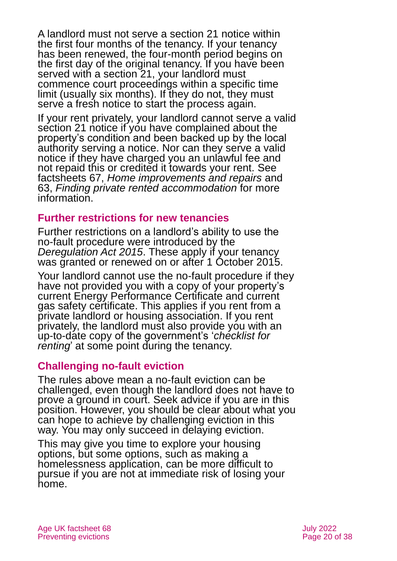A landlord must not serve a section 21 notice within the first four months of the tenancy. If your tenancy has been renewed, the four-month period begins on the first day of the original tenancy. If you have been served with a section 21, your landlord must commence court proceedings within a specific time limit (usually six months). If they do not, they must serve a fresh notice to start the process again.

If your rent privately, your landlord cannot serve a valid section 21 notice if you have complained about the property's condition and been backed up by the local authority serving a notice. Nor can they serve a valid notice if they have charged you an unlawful fee and not repaid this or credited it towards your rent. See factsheets 67, *[Home improvements and repairs](https://www.ageuk.org.uk/globalassets/age-uk/documents/factsheets/fs67_home_improvements_and_repairs_fcs.pdf)* and 63, *[Finding private rented accommodation](https://www.ageuk.org.uk/globalassets/age-uk/documents/factsheets/fs63_finding_private_rented_accommodation_fcs.pdf)* for more information.

### **Further restrictions for new tenancies**

Further restrictions on a landlord's ability to use the no-fault procedure were introduced by the *Deregulation Act 2015*. These apply if your tenancy was granted or renewed on or after 1 October 2015.

Your landlord cannot use the no-fault procedure if they have not provided you with a copy of your property's current Energy Performance Certificate and current gas safety certificate. This applies if you rent from a private landlord or housing association. If you rent privately, the landlord must also provide you with an up-to-date copy of the government's '*[checklist for](https://www.gov.uk/government/publications/how-to-rent/how-to-rent-the-checklist-for-renting-in-england)  [renting](https://www.gov.uk/government/publications/how-to-rent/how-to-rent-the-checklist-for-renting-in-england)*' at some point during the tenancy.

#### **Challenging no-fault eviction**

The rules above mean a no-fault eviction can be challenged, even though the landlord does not have to prove a ground in court. Seek advice if you are in this position. However, you should be clear about what you can hope to achieve by challenging eviction in this way. You may only succeed in delaying eviction.

This may give you time to explore your housing options, but some options, such as making a homelessness application, can be more difficult to pursue if you are not at immediate risk of losing your home.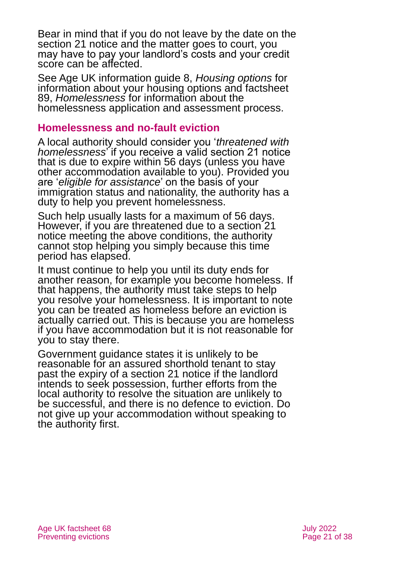Bear in mind that if you do not leave by the date on the section 21 notice and the matter goes to court, you may have to pay your landlord's costs and your credit score can be affected.

See Age UK information guide 8, *[Housing options](https://www.ageuk.org.uk/globalassets/age-uk/documents/information-guides/ageukig08_housing_options_inf.pdf?dtrk=true)* for information about your housing options and [factsheet](https://www.ageuk.org.uk/globalassets/age-uk/documents/factsheets/fs89_homelessness_fcs.pdf?dtrk=true)  89, *[Homelessness](https://www.ageuk.org.uk/globalassets/age-uk/documents/factsheets/fs89_homelessness_fcs.pdf?dtrk=true)* for information about the homelessness application and assessment process.

#### **Homelessness and no-fault eviction**

A local authority should consider you '*threatened with homelessness*' if you receive a valid section 21 notice that is due to expire within 56 days (unless you have other accommodation available to you). Provided you are '*eligible for assistance*' on the basis of your immigration status and nationality, the authority has a duty to help you prevent homelessness.

Such help usually lasts for a maximum of 56 days. However, if you are threatened due to a section 21 notice meeting the above conditions, the authority cannot stop helping you simply because this time period has elapsed.

It must continue to help you until its duty ends for another reason, for example you become homeless. If that happens, the authority must take steps to help you resolve your homelessness. It is important to note you can be treated as homeless before an eviction is actually carried out. This is because you are homeless if you have accommodation but it is not reasonable for you to stay there.

Government guidance states it is unlikely to be reasonable for an assured shorthold tenant to stay past the expiry of a section 21 notice if the landlord intends to seek possession, further efforts from the local authority to resolve the situation are unlikely to be successful, and there is no defence to eviction. Do not give up your accommodation without speaking to the authority first.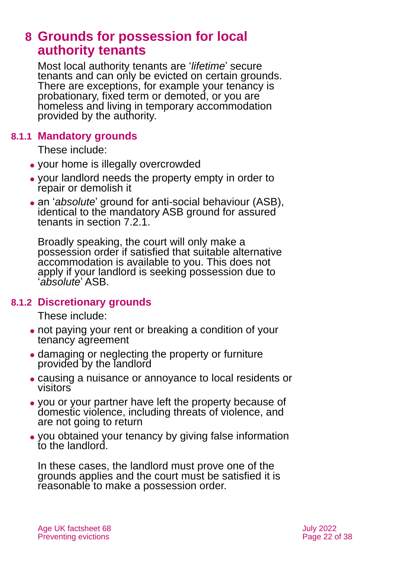## <span id="page-21-0"></span>**8 Grounds for possession for local authority tenants**

Most local authority tenants are '*lifetime*' secure tenants and can only be evicted on certain grounds. There are exceptions, for example your tenancy is probationary, fixed term or demoted, or you are homeless and living in temporary accommodation provided by the authority.

#### **8.1.1 Mandatory grounds**

These include:

- ⚫ your home is illegally overcrowded
- ⚫ your landlord needs the property empty in order to repair or demolish it
- ⚫ an '*absolute*' ground for anti-social behaviour (ASB), identical to the mandatory ASB ground for assured tenants in [section 7.2.1.](#page-17-1)

Broadly speaking, the court will only make a possession order if satisfied that suitable alternative accommodation is available to you. This does not apply if your landlord is seeking possession due to '*absolute*' ASB.

### **8.1.2 Discretionary grounds**

These include:

- ⚫ not paying your rent or breaking a condition of your tenancy agreement
- ⚫ damaging or neglecting the property or furniture provided by the landlord
- ⚫ causing a nuisance or annoyance to local residents or visitors
- ⚫ you or your partner have left the property because of domestic violence, including threats of violence, and are not going to return
- ⚫ you obtained your tenancy by giving false information to the landlord.

In these cases, the landlord must prove one of the grounds applies and the court must be satisfied it is reasonable to make a possession order.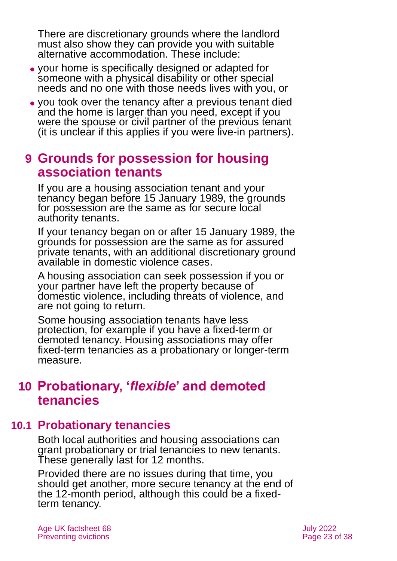There are discretionary grounds where the landlord must also show they can provide you with suitable alternative accommodation. These include:

- ⚫ your home is specifically designed or adapted for someone with a physical disability or other special needs and no one with those needs lives with you, or
- ⚫ you took over the tenancy after a previous tenant died and the home is larger than you need, except if you were the spouse or civil partner of the previous tenant (it is unclear if this applies if you were live-in partners).

## <span id="page-22-0"></span>**9 Grounds for possession for housing association tenants**

If you are a housing association tenant and your tenancy began before 15 January 1989, the grounds for possession are the same as for secure local authority tenants.

If your tenancy began on or after 15 January 1989, the grounds for possession are the same as for assured private tenants, with an additional discretionary ground available in domestic violence cases.

A housing association can seek possession if you or your partner have left the property because of domestic violence, including threats of violence, and are not going to return.

Some housing association tenants have less protection, for example if you have a fixed-term or demoted tenancy. Housing associations may offer fixed-term tenancies as a probationary or longer-term measure.

## <span id="page-22-1"></span>**10 Probationary, '***flexible***' and demoted tenancies**

## **10.1 Probationary tenancies**

Both local authorities and housing associations can grant probationary or trial tenancies to new tenants. These generally last for 12 months.

Provided there are no issues during that time, you should get another, more secure tenancy at the end of the 12-month period, although this could be a fixedterm tenancy.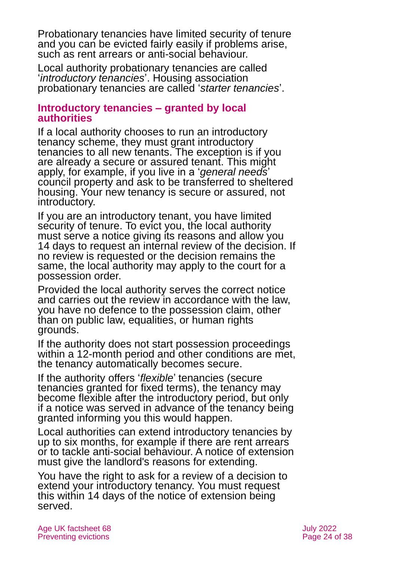Probationary tenancies have limited security of tenure and you can be evicted fairly easily if problems arise, such as rent arrears or anti-social behaviour.

Local authority probationary tenancies are called '*introductory tenancies*'. Housing association probationary tenancies are called '*starter tenancies*'.

#### **Introductory tenancies – granted by local authorities**

If a local authority chooses to run an introductory tenancy scheme, they must grant introductory tenancies to all new tenants. The exception is if you are already a secure or assured tenant. This might apply, for example, if you live in a '*general needs*' council property and ask to be transferred to sheltered housing. Your new tenancy is secure or assured, not introductory.

If you are an introductory tenant, you have limited security of tenure. To evict you, the local authority must serve a notice giving its reasons and allow you 14 days to request an internal review of the decision. If no review is requested or the decision remains the same, the local authority may apply to the court for a possession order.

Provided the local authority serves the correct notice and carries out the review in accordance with the law, you have no defence to the possession claim, other than on public law, equalities, or human rights grounds.

If the authority does not start possession proceedings within a 12-month period and other conditions are met, the tenancy automatically becomes secure.

If the authority offers '*flexible*' tenancies (secure tenancies granted for fixed terms), the tenancy may become flexible after the introductory period, but only if a notice was served in advance of the tenancy being granted informing you this would happen.

Local authorities can extend introductory tenancies by up to six months, for example if there are rent arrears or to tackle anti-social behaviour. A notice of extension must give the landlord's reasons for extending.

You have the right to ask for a review of a decision to extend your introductory tenancy. You must request this within 14 days of the notice of extension being served.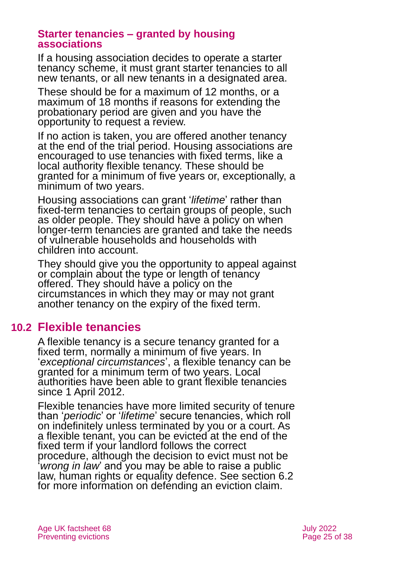#### **Starter tenancies – granted by housing associations**

If a housing association decides to operate a starter tenancy scheme, it must grant starter tenancies to all new tenants, or all new tenants in a designated area.

These should be for a maximum of 12 months, or a maximum of 18 months if reasons for extending the probationary period are given and you have the opportunity to request a review.

If no action is taken, you are offered another tenancy at the end of the trial period. Housing associations are encouraged to use tenancies with fixed terms, like a local authority flexible tenancy. These should be granted for a minimum of five years or, exceptionally, a minimum of two years.

Housing associations can grant '*lifetime*' rather than fixed-term tenancies to certain groups of people, such as older people. They should have a policy on when longer-term tenancies are granted and take the needs of vulnerable households and households with children into account.

They should give you the opportunity to appeal against or complain about the type or length of tenancy offered. They should have a policy on the circumstances in which they may or may not grant another tenancy on the expiry of the fixed term.

## **10.2 Flexible tenancies**

A flexible tenancy is a secure tenancy granted for a fixed term, normally a minimum of five years. In '*exceptional circumstances*', a flexible tenancy can be granted for a minimum term of two years. Local authorities have been able to grant flexible tenancies since 1 April 2012.

Flexible tenancies have more limited security of tenure than '*periodic*' or '*lifetime*' secure tenancies, which roll on indefinitely unless terminated by you or a court. As a flexible tenant, you can be evicted at the end of the fixed term if your landlord follows the correct procedure, although the decision to evict must not be '*wrong in law*' and you may be able to raise a public law, human rights or equality defence. See [section 6.2](#page-13-0) for more information on defending an eviction claim.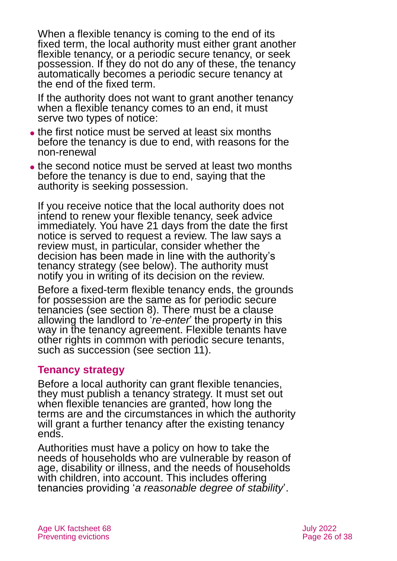When a flexible tenancy is coming to the end of its fixed term, the local authority must either grant another flexible tenancy, or a periodic secure tenancy, or seek possession. If they do not do any of these, the tenancy automatically becomes a periodic secure tenancy at the end of the fixed term.

If the authority does not want to grant another tenancy when a flexible tenancy comes to an end, it must serve two types of notice:

- the first notice must be served at least six months before the tenancy is due to end, with reasons for the non-renewal
- the second notice must be served at least two months before the tenancy is due to end, saying that the authority is seeking possession.

If you receive notice that the local authority does not intend to renew your flexible tenancy, seek advice immediately. You have 21 days from the date the first notice is served to request a review. The law says a review must, in particular, consider whether the decision has been made in line with the authority's tenancy strategy (see below). The authority must notify you in writing of its decision on the review.

Before a fixed-term flexible tenancy ends, the grounds for possession are the same as for periodic secure tenancies (see [section 8\)](#page-21-0). There must be a clause allowing the landlord to '*re-enter*' the property in this way in the tenancy agreement. Flexible tenants have other rights in common with periodic secure tenants, such as succession (see [section](#page-26-0) 11).

#### **Tenancy strategy**

Before a local authority can grant flexible tenancies, they must publish a tenancy strategy. It must set out when flexible tenancies are granted, how long the terms are and the circumstances in which the authority will grant a further tenancy after the existing tenancy ends.

Authorities must have a policy on how to take the needs of households who are vulnerable by reason of age, disability or illness, and the needs of households with children, into account. This includes offering tenancies providing '*a reasonable degree of stability*'.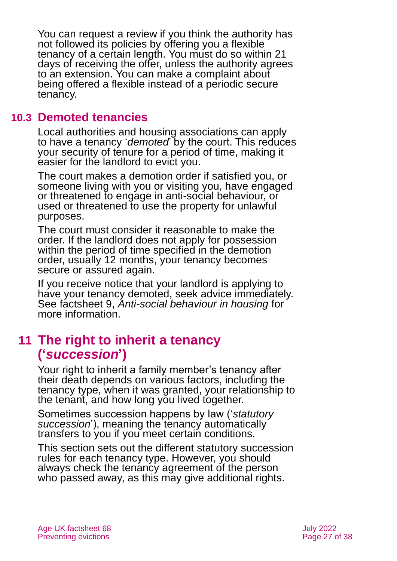You can request a review if you think the authority has not followed its policies by offering you a flexible tenancy of a certain length. You must do so within 21 days of receiving the offer, unless the authority agrees to an extension. You can make a complaint about being offered a flexible instead of a periodic secure tenancy.

## **10.3 Demoted tenancies**

Local authorities and housing associations can apply to have a tenancy '*demoted*' by the court. This reduces your security of tenure for a period of time, making it easier for the landlord to evict you.

The court makes a demotion order if satisfied you, or someone living with you or visiting you, have engaged or threatened to engage in anti-social behaviour, or used or threatened to use the property for unlawful purposes.

The court must consider it reasonable to make the order. If the landlord does not apply for possession within the period of time specified in the demotion order, usually 12 months, your tenancy becomes secure or assured again.

If you receive notice that your landlord is applying to have your tenancy demoted, seek advice immediately. See factsheet 9, *[Anti-social behaviour in housing](https://www.ageuk.org.uk/globalassets/age-uk/documents/factsheets/fs9_anti-social_behaviour_in_housing_fcs.pdf?dtrk=true)* for more information.

## <span id="page-26-0"></span>**11 The right to inherit a tenancy ('***succession***')**

Your right to inherit a family member's tenancy after their death depends on various factors, including the tenancy type, when it was granted, your relationship to the tenant, and how long you lived together.

Sometimes succession happens by law ('*statutory succession*'), meaning the tenancy automatically transfers to you if you meet certain conditions.

This section sets out the different statutory succession rules for each tenancy type. However, you should always check the tenancy agreement of the person who passed away, as this may give additional rights.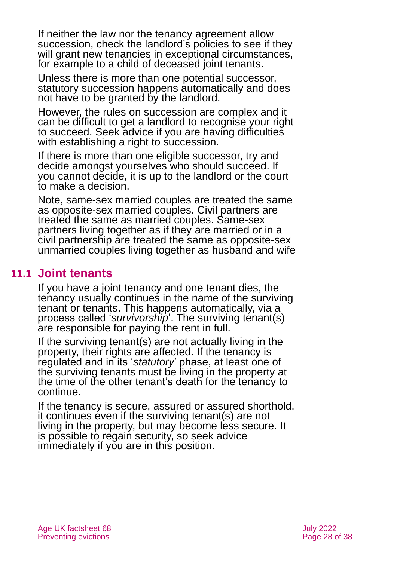If neither the law nor the tenancy agreement allow succession, check the landlord's policies to see if they will grant new tenancies in exceptional circumstances, for example to a child of deceased joint tenants.

Unless there is more than one potential successor, statutory succession happens automatically and does not have to be granted by the landlord.

However, the rules on succession are complex and it can be difficult to get a landlord to recognise your right to succeed. Seek advice if you are having difficulties with establishing a right to succession.

If there is more than one eligible successor, try and decide amongst yourselves who should succeed. If you cannot decide, it is up to the landlord or the court to make a decision.

Note, same-sex married couples are treated the same as opposite-sex married couples. Civil partners are treated the same as married couples. Same-sex partners living together as if they are married or in a civil partnership are treated the same as opposite-sex unmarried couples living together as husband and wife

## **11.1 Joint tenants**

If you have a joint tenancy and one tenant dies, the tenancy usually continues in the name of the surviving tenant or tenants. This happens automatically, via a process called '*survivorship*'. The surviving tenant(s) are responsible for paying the rent in full.

If the surviving tenant(s) are not actually living in the property, their rights are affected. If the tenancy is regulated and in its '*statutory*' phase, at least one of the surviving tenants must be living in the property at the time of the other tenant's death for the tenancy to continue.

If the tenancy is secure, assured or assured shorthold, it continues even if the surviving tenant(s) are not living in the property, but may become less secure. It is possible to regain security, so seek advice immediately if you are in this position.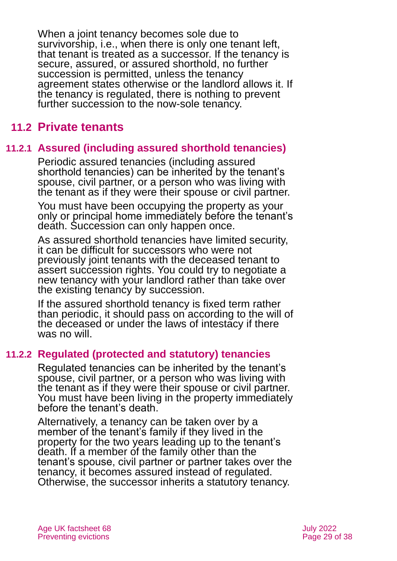When a joint tenancy becomes sole due to survivorship, i.e., when there is only one tenant left. that tenant is treated as a successor. If the tenancy is secure, assured, or assured shorthold, no further succession is permitted, unless the tenancy agreement states otherwise or the landlord allows it. If the tenancy is regulated, there is nothing to prevent further succession to the now-sole tenancy.

## **11.2 Private tenants**

### **11.2.1 Assured (including assured shorthold tenancies)**

Periodic assured tenancies (including assured shorthold tenancies) can be inherited by the tenant's spouse, civil partner, or a person who was living with the tenant as if they were their spouse or civil partner.

You must have been occupying the property as your only or principal home immediately before the tenant's death. Succession can only happen once.

As assured shorthold tenancies have limited security, it can be difficult for successors who were not previously joint tenants with the deceased tenant to assert succession rights. You could try to negotiate a new tenancy with your landlord rather than take over the existing tenancy by succession.

If the assured shorthold tenancy is fixed term rather than periodic, it should pass on according to the will of the deceased or under the laws of intestacy if there was no will.

## **11.2.2 Regulated (protected and statutory) tenancies**

Regulated tenancies can be inherited by the tenant's spouse, civil partner, or a person who was living with the tenant as if they were their spouse or civil partner. You must have been living in the property immediately before the tenant's death.

Alternatively, a tenancy can be taken over by a member of the tenant's family if they lived in the property for the two years leading up to the tenant's death. If a member of the family other than the tenant's spouse, civil partner or partner takes over the tenancy, it becomes assured instead of regulated. Otherwise, the successor inherits a statutory tenancy.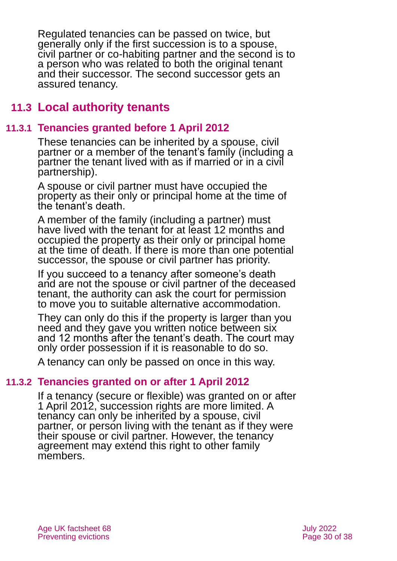Regulated tenancies can be passed on twice, but generally only if the first succession is to a spouse, civil partner or co-habiting partner and the second is to a person who was related to both the original tenant and their successor. The second successor gets an assured tenancy.

## **11.3 Local authority tenants**

### **11.3.1 Tenancies granted before 1 April 2012**

These tenancies can be inherited by a spouse, civil partner or a member of the tenant's family (including a partner the tenant lived with as if married or in a civil partnership).

A spouse or civil partner must have occupied the property as their only or principal home at the time of the tenant's death.

A member of the family (including a partner) must have lived with the tenant for at least 12 months and occupied the property as their only or principal home at the time of death. If there is more than one potential successor, the spouse or civil partner has priority.

If you succeed to a tenancy after someone's death and are not the spouse or civil partner of the deceased tenant, the authority can ask the court for permission to move you to suitable alternative accommodation.

They can only do this if the property is larger than you need and they gave you written notice between six and 12 months after the tenant's death. The court may only order possession if it is reasonable to do so.

A tenancy can only be passed on once in this way.

#### **11.3.2 Tenancies granted on or after 1 April 2012**

If a tenancy (secure or flexible) was granted on or after 1 April 2012, succession rights are more limited. A tenancy can only be inherited by a spouse, civil partner, or person living with the tenant as if they were their spouse or civil partner. However, the tenancy agreement may extend this right to other family members.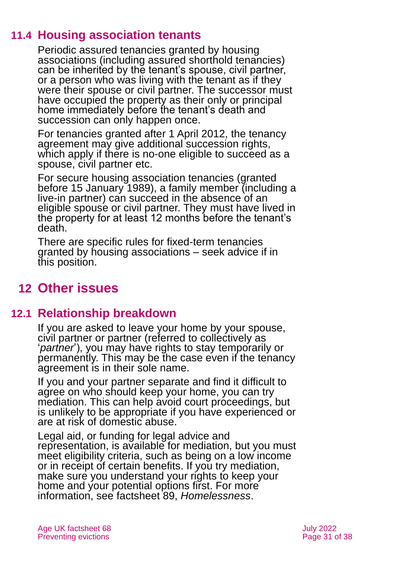## **11.4 Housing association tenants**

Periodic assured tenancies granted by housing associations (including assured shorthold tenancies) can be inherited by the tenant's spouse, civil partner, or a person who was living with the tenant as if they were their spouse or civil partner. The successor must have occupied the property as their only or principal home immediately before the tenant's death and succession can only happen once.

For tenancies granted after 1 April 2012, the tenancy agreement may give additional succession rights, which apply if there is no-one eligible to succeed as a spouse, civil partner etc.

For secure housing association tenancies (granted before 15 January 1989), a family member (including a live-in partner) can succeed in the absence of an eligible spouse or civil partner. They must have lived in the property for at least 12 months before the tenant's death.

There are specific rules for fixed-term tenancies granted by housing associations – seek advice if in this position.

## <span id="page-30-0"></span>**12 Other issues**

## **12.1 Relationship breakdown**

If you are asked to leave your home by your spouse, civil partner or partner (referred to collectively as '*partner*'), you may have rights to stay temporarily or permanently. This may be the case even if the tenancy agreement is in their sole name.

If you and your partner separate and find it difficult to agree on who should keep your home, you can try mediation. This can help avoid court proceedings, but is unlikely to be appropriate if you have experienced or are at risk of domestic abuse.

Legal aid, or funding for legal advice and representation, is available for mediation, but you must meet eligibility criteria, such as being on a low income or in receipt of certain benefits. If you try mediation, make sure you understand your rights to keep your home and your potential options first. For more information, see factsheet 89, *[Homelessness](https://www.ageuk.org.uk/globalassets/age-uk/documents/factsheets/fs89_homelessness_fcs.pdf?dtrk=true)*.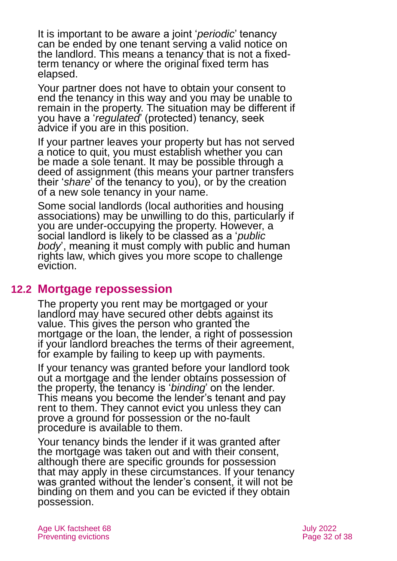It is important to be aware a joint '*periodic*' tenancy can be ended by one tenant serving a valid notice on the landlord. This means a tenancy that is not a fixedterm tenancy or where the original fixed term has elapsed.

Your partner does not have to obtain your consent to end the tenancy in this way and you may be unable to remain in the property. The situation may be different if you have a '*regulated*' (protected) tenancy, seek advice if you are in this position.

If your partner leaves your property but has not served a notice to quit, you must establish whether you can be made a sole tenant. It may be possible through a deed of assignment (this means your partner transfers their '*share*' of the tenancy to you), or by the creation of a new sole tenancy in your name.

Some social landlords (local authorities and housing associations) may be unwilling to do this, particularly if you are under-occupying the property. However, a social landlord is likely to be classed as a '*public body*', meaning it must comply with public and human rights law, which gives you more scope to challenge eviction.

## **12.2 Mortgage repossession**

The property you rent may be mortgaged or your landlord may have secured other debts against its value. This gives the person who granted the mortgage or the loan, the lender, a right of possession if your landlord breaches the terms of their agreement, for example by failing to keep up with payments.

If your tenancy was granted before your landlord took out a mortgage and the lender obtains possession of the property, the tenancy is '*binding*' on the lender. This means you become the lender's tenant and pay rent to them. They cannot evict you unless they can prove a ground for possession or the no-fault procedure is available to them.

Your tenancy binds the lender if it was granted after the mortgage was taken out and with their consent, although there are specific grounds for possession that may apply in these circumstances. If your tenancy was granted without the lender's consent, it will not be binding on them and you can be evicted if they obtain possession.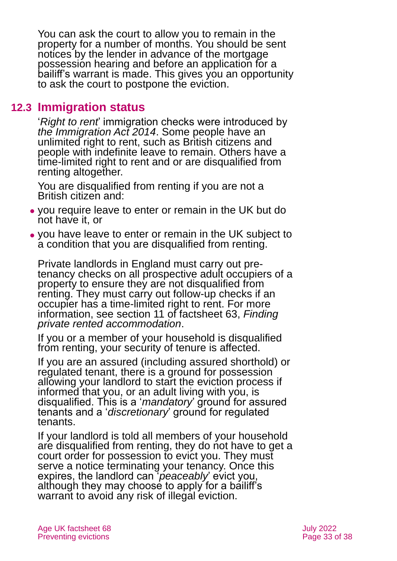You can ask the court to allow you to remain in the property for a number of months. You should be sent notices by the lender in advance of the mortgage possession hearing and before an application for a bailiff's warrant is made. This gives you an opportunity to ask the court to postpone the eviction.

### **12.3 Immigration status**

'*Right to rent*' immigration checks were introduced by *[the Immigration Act 2014](https://www.legislation.gov.uk/ukpga/2014/22/contents)*. Some people have an unlimited right to rent, such as British citizens and people with indefinite leave to remain. Others have a time-limited right to rent and or are disqualified from renting altogether.

You are disqualified from renting if you are not a British citizen and:

- ⚫ you require leave to enter or remain in the UK but do not have it, or
- ⚫ you have leave to enter or remain in the UK subject to a condition that you are disqualified from renting.

Private landlords in England must carry out pretenancy checks on all prospective adult occupiers of a property to ensure they are not disqualified from renting. They must carry out follow-up checks if an occupier has a time-limited right to rent. For more information, see section 11 of [factsheet 63,](https://www.ageuk.org.uk/globalassets/age-uk/documents/factsheets/fs63_finding_private_rented_accommodation_fcs.pdf?dtrk=true) *Finding [private rented accommodation](https://www.ageuk.org.uk/globalassets/age-uk/documents/factsheets/fs63_finding_private_rented_accommodation_fcs.pdf?dtrk=true)*.

If you or a member of your household is disqualified from renting, your security of tenure is affected.

If you are an assured (including assured shorthold) or regulated tenant, there is a ground for possession allowing your landlord to start the eviction process if informed that you, or an adult living with you, is disqualified. This is a '*mandatory*' ground for assured tenants and a '*discretionary*' ground for regulated tenants.

If your landlord is told all members of your household are disqualified from renting, they do not have to get a court order for possession to evict you. They must serve a notice terminating your tenancy. Once this expires, the landlord can '*peaceably*' evict you, although they may choose to apply for a bailiff's warrant to avoid any risk of illegal eviction.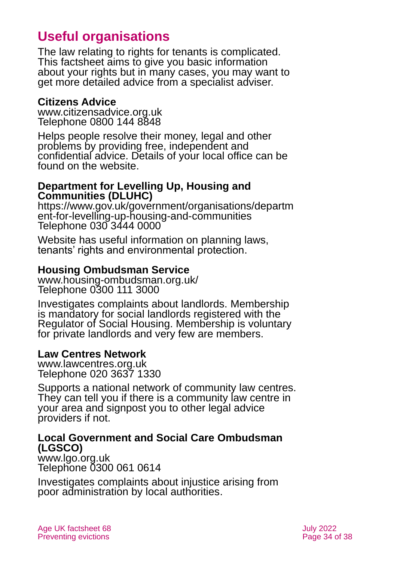## **Useful organisations**

The law relating to rights for tenants is complicated. This factsheet aims to give you basic information about your rights but in many cases, you may want to get more detailed advice from a specialist adviser.

### <span id="page-33-0"></span>**Citizens Advice**

[www.citizensadvice.org.uk](http://www.citizensadvice.org.uk/) Telephone 0800 144 8848

Helps people resolve their money, legal and other problems by providing free, independent and confidential advice. Details of your local office can be found on the website.

#### **Department for Levelling Up, Housing and Communities (DLUHC)**

[https://www.gov.uk/government/organisations/departm](https://www.gov.uk/government/organisations/department-for-levelling-up-housing-and-communities) [ent-for-levelling-up-housing-and-communities](https://www.gov.uk/government/organisations/department-for-levelling-up-housing-and-communities) Telephone 030 3444 0000

Website has useful information on planning laws, tenants' rights and environmental protection.

### **Housing Ombudsman Service**

[www.housing-ombudsman.org.uk/](http://www.housing-ombudsman.org.uk/) Telephone 0300 111 3000

Investigates complaints about landlords. Membership is mandatory for social landlords registered with the Regulator of Social Housing. Membership is voluntary for private landlords and very few are members.

### **Law Centres Network**

[www.lawcentres.org.uk](http://www.lawcentres.org.uk/) Telephone 020 3637 1330

Supports a national network of community law centres. They can tell you if there is a community law centre in your area and signpost you to other legal advice providers if not.

### **Local Government and Social Care Ombudsman (LGSCO)**

[www.lgo.org.uk](http://www.lgo.org.uk/) Telephone 0300 061 0614

Investigates complaints about injustice arising from poor administration by local authorities.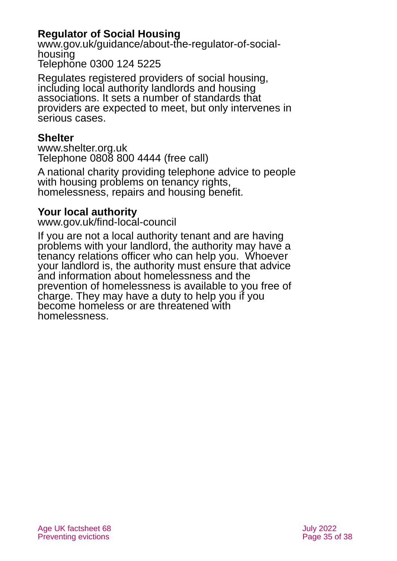### **Regulator of Social Housing**

[www.gov.uk/guidance/about-the-regulator-of-social](http://www.gov.uk/guidance/about-the-regulator-of-social-housing)[housing](http://www.gov.uk/guidance/about-the-regulator-of-social-housing) Telephone 0300 124 5225

Regulates registered providers of social housing, including local authority landlords and housing associations. It sets a number of standards that providers are expected to meet, but only intervenes in serious cases.

### **Shelter**

[www.shelter.org.uk](http://www.shelter.org.uk/) Telephone 0808 800 4444 (free call)

A national charity providing telephone advice to people with housing problems on tenancy rights, homelessness, repairs and housing benefit.

### **Your local authority**

[www.gov.uk/find-local-council](http://www.gov.uk/find-local-council)

If you are not a local authority tenant and are having problems with your landlord, the authority may have a tenancy relations officer who can help you. Whoever your landlord is, the authority must ensure that advice and information about homelessness and the prevention of homelessness is available to you free of charge. They may have a duty to help you if you become homeless or are threatened with homelessness.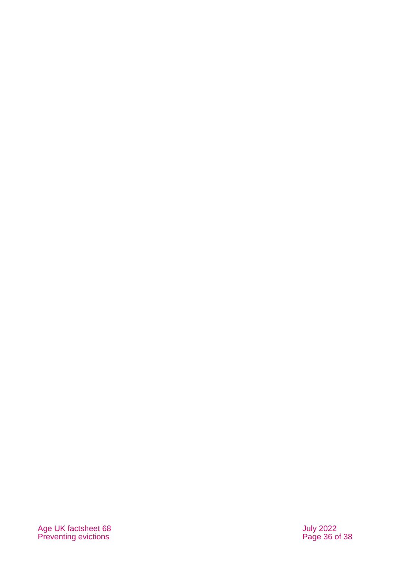Age UK factsheet 68 July 202 Preventing evictions **Preventing evictions Preventing** evictions **Page 36 of 38**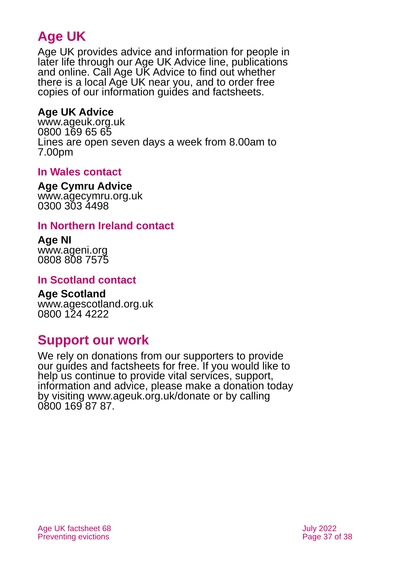## **Age UK**

Age UK provides advice and information for people in later life through our Age UK Advice line, publications and online. Call Age UK Advice to find out whether there is a local Age UK near you, and to order free copies of our information guides and factsheets.

### <span id="page-36-1"></span>**Age UK Advice**

[www.ageuk.org.uk](http://www.ageuk.org.uk/) 0800 169 65 65 Lines are open seven days a week from 8.00am to 7.00pm

### **In Wales contact**

#### **Age Cymru Advice**

[www.agecymru.org.uk](http://www.agecymru.org.uk/) 0300 303 4498

### **In Northern Ireland contact**

#### **Age NI** [www.ageni.org](http://www.ageni.org/)

0808 808 7575

### <span id="page-36-0"></span>**In Scotland contact**

## <span id="page-36-2"></span>**Age Scotland**

[www.agescotland.org.uk](http://www.agescotland.org.uk/) 0800 124 4222

## **Support our work**

We rely on donations from our supporters to provide our guides and factsheets for free. If you would like to help us continue to provide vital services, support, information and advice, please make a donation today by visiting [www.ageuk.org.uk/donate](http://www.ageuk.org.uk/donate) or by calling 0800 169 87 87.